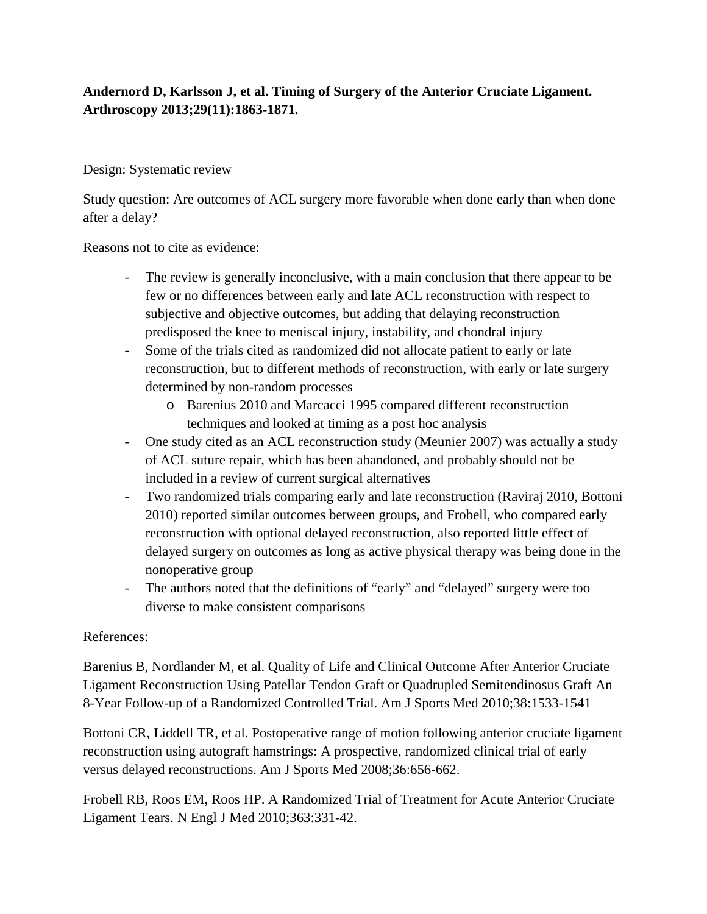## **Andernord D, Karlsson J, et al. Timing of Surgery of the Anterior Cruciate Ligament. Arthroscopy 2013;29(11):1863-1871.**

## Design: Systematic review

Study question: Are outcomes of ACL surgery more favorable when done early than when done after a delay?

Reasons not to cite as evidence:

- The review is generally inconclusive, with a main conclusion that there appear to be few or no differences between early and late ACL reconstruction with respect to subjective and objective outcomes, but adding that delaying reconstruction predisposed the knee to meniscal injury, instability, and chondral injury
- Some of the trials cited as randomized did not allocate patient to early or late reconstruction, but to different methods of reconstruction, with early or late surgery determined by non-random processes
	- o Barenius 2010 and Marcacci 1995 compared different reconstruction techniques and looked at timing as a post hoc analysis
- One study cited as an ACL reconstruction study (Meunier 2007) was actually a study of ACL suture repair, which has been abandoned, and probably should not be included in a review of current surgical alternatives
- Two randomized trials comparing early and late reconstruction (Raviraj 2010, Bottoni 2010) reported similar outcomes between groups, and Frobell, who compared early reconstruction with optional delayed reconstruction, also reported little effect of delayed surgery on outcomes as long as active physical therapy was being done in the nonoperative group
- The authors noted that the definitions of "early" and "delayed" surgery were too diverse to make consistent comparisons

## References:

Barenius B, Nordlander M, et al. Quality of Life and Clinical Outcome After Anterior Cruciate Ligament Reconstruction Using Patellar Tendon Graft or Quadrupled Semitendinosus Graft An 8-Year Follow-up of a Randomized Controlled Trial. Am J Sports Med 2010;38:1533-1541

Bottoni CR, Liddell TR, et al. Postoperative range of motion following anterior cruciate ligament reconstruction using autograft hamstrings: A prospective, randomized clinical trial of early versus delayed reconstructions. Am J Sports Med 2008;36:656-662.

Frobell RB, Roos EM, Roos HP. A Randomized Trial of Treatment for Acute Anterior Cruciate Ligament Tears. N Engl J Med 2010;363:331-42.